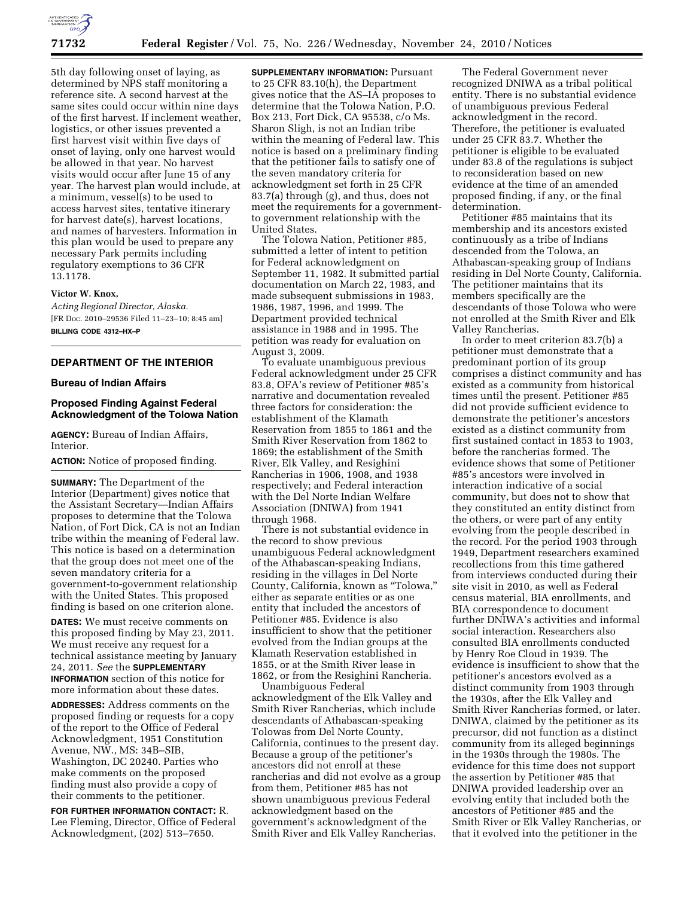

5th day following onset of laying, as determined by NPS staff monitoring a reference site. A second harvest at the same sites could occur within nine days of the first harvest. If inclement weather, logistics, or other issues prevented a first harvest visit within five days of onset of laying, only one harvest would be allowed in that year. No harvest visits would occur after June 15 of any year. The harvest plan would include, at a minimum, vessel(s) to be used to access harvest sites, tentative itinerary for harvest date(s), harvest locations, and names of harvesters. Information in this plan would be used to prepare any necessary Park permits including regulatory exemptions to 36 CFR 13.1178.

### **Victor W. Knox,**

*Acting Regional Director, Alaska.*  [FR Doc. 2010–29536 Filed 11–23–10; 8:45 am] **BILLING CODE 4312–HX–P** 

# **DEPARTMENT OF THE INTERIOR**

### **Bureau of Indian Affairs**

# **Proposed Finding Against Federal Acknowledgment of the Tolowa Nation**

**AGENCY:** Bureau of Indian Affairs, Interior.

**ACTION:** Notice of proposed finding.

**SUMMARY:** The Department of the Interior (Department) gives notice that the Assistant Secretary—Indian Affairs proposes to determine that the Tolowa Nation, of Fort Dick, CA is not an Indian tribe within the meaning of Federal law. This notice is based on a determination that the group does not meet one of the seven mandatory criteria for a government-to-government relationship with the United States. This proposed finding is based on one criterion alone.

**DATES:** We must receive comments on this proposed finding by May 23, 2011. We must receive any request for a technical assistance meeting by January 24, 2011. *See* the **SUPPLEMENTARY INFORMATION** section of this notice for more information about these dates.

**ADDRESSES:** Address comments on the proposed finding or requests for a copy of the report to the Office of Federal Acknowledgment, 1951 Constitution Avenue, NW., MS: 34B–SIB, Washington, DC 20240. Parties who make comments on the proposed finding must also provide a copy of their comments to the petitioner.

**FOR FURTHER INFORMATION CONTACT:** R. Lee Fleming, Director, Office of Federal Acknowledgment, (202) 513–7650.

**SUPPLEMENTARY INFORMATION:** Pursuant to 25 CFR 83.10(h), the Department gives notice that the AS–IA proposes to determine that the Tolowa Nation, P.O. Box 213, Fort Dick, CA 95538, c/o Ms. Sharon Sligh, is not an Indian tribe within the meaning of Federal law. This notice is based on a preliminary finding that the petitioner fails to satisfy one of the seven mandatory criteria for acknowledgment set forth in 25 CFR 83.7(a) through (g), and thus, does not meet the requirements for a governmentto government relationship with the United States.

The Tolowa Nation, Petitioner #85, submitted a letter of intent to petition for Federal acknowledgment on September 11, 1982. It submitted partial documentation on March 22, 1983, and made subsequent submissions in 1983, 1986, 1987, 1996, and 1999. The Department provided technical assistance in 1988 and in 1995. The petition was ready for evaluation on August 3, 2009.

To evaluate unambiguous previous Federal acknowledgment under 25 CFR 83.8, OFA's review of Petitioner #85's narrative and documentation revealed three factors for consideration: the establishment of the Klamath Reservation from 1855 to 1861 and the Smith River Reservation from 1862 to 1869; the establishment of the Smith River, Elk Valley, and Resighini Rancherias in 1906, 1908, and 1938 respectively; and Federal interaction with the Del Norte Indian Welfare Association (DNIWA) from 1941 through 1968.

There is not substantial evidence in the record to show previous unambiguous Federal acknowledgment of the Athabascan-speaking Indians, residing in the villages in Del Norte County, California, known as ''Tolowa,'' either as separate entities or as one entity that included the ancestors of Petitioner #85. Evidence is also insufficient to show that the petitioner evolved from the Indian groups at the Klamath Reservation established in 1855, or at the Smith River lease in 1862, or from the Resighini Rancheria.

Unambiguous Federal acknowledgment of the Elk Valley and Smith River Rancherias, which include descendants of Athabascan-speaking Tolowas from Del Norte County, California, continues to the present day. Because a group of the petitioner's ancestors did not enroll at these rancherias and did not evolve as a group from them, Petitioner #85 has not shown unambiguous previous Federal acknowledgment based on the government's acknowledgment of the Smith River and Elk Valley Rancherias.

The Federal Government never recognized DNIWA as a tribal political entity. There is no substantial evidence of unambiguous previous Federal acknowledgment in the record. Therefore, the petitioner is evaluated under 25 CFR 83.7. Whether the petitioner is eligible to be evaluated under 83.8 of the regulations is subject to reconsideration based on new evidence at the time of an amended proposed finding, if any, or the final determination.

Petitioner #85 maintains that its membership and its ancestors existed continuously as a tribe of Indians descended from the Tolowa, an Athabascan-speaking group of Indians residing in Del Norte County, California. The petitioner maintains that its members specifically are the descendants of those Tolowa who were not enrolled at the Smith River and Elk Valley Rancherias.

In order to meet criterion 83.7(b) a petitioner must demonstrate that a predominant portion of its group comprises a distinct community and has existed as a community from historical times until the present. Petitioner #85 did not provide sufficient evidence to demonstrate the petitioner's ancestors existed as a distinct community from first sustained contact in 1853 to 1903, before the rancherias formed. The evidence shows that some of Petitioner #85's ancestors were involved in interaction indicative of a social community, but does not to show that they constituted an entity distinct from the others, or were part of any entity evolving from the people described in the record. For the period 1903 through 1949, Department researchers examined recollections from this time gathered from interviews conducted during their site visit in 2010, as well as Federal census material, BIA enrollments, and BIA correspondence to document further DNIWA's activities and informal social interaction. Researchers also consulted BIA enrollments conducted by Henry Roe Cloud in 1939. The evidence is insufficient to show that the petitioner's ancestors evolved as a distinct community from 1903 through the 1930s, after the Elk Valley and Smith River Rancherias formed, or later. DNIWA, claimed by the petitioner as its precursor, did not function as a distinct community from its alleged beginnings in the 1930s through the 1980s. The evidence for this time does not support the assertion by Petitioner #85 that DNIWA provided leadership over an evolving entity that included both the ancestors of Petitioner #85 and the Smith River or Elk Valley Rancherias, or that it evolved into the petitioner in the